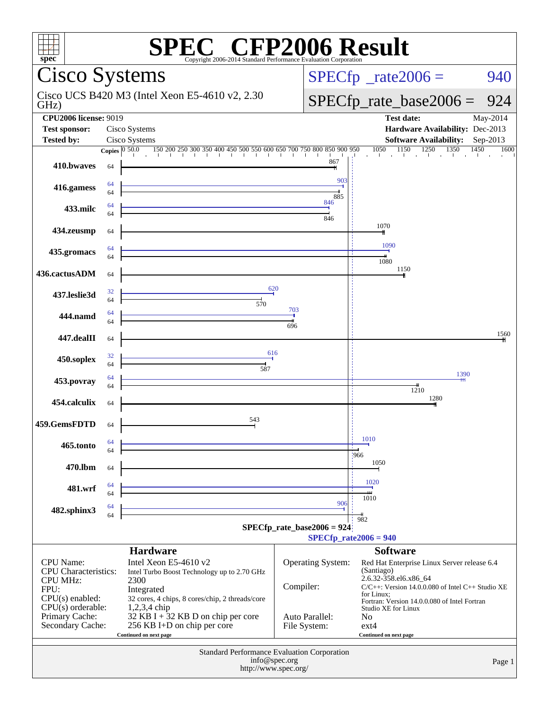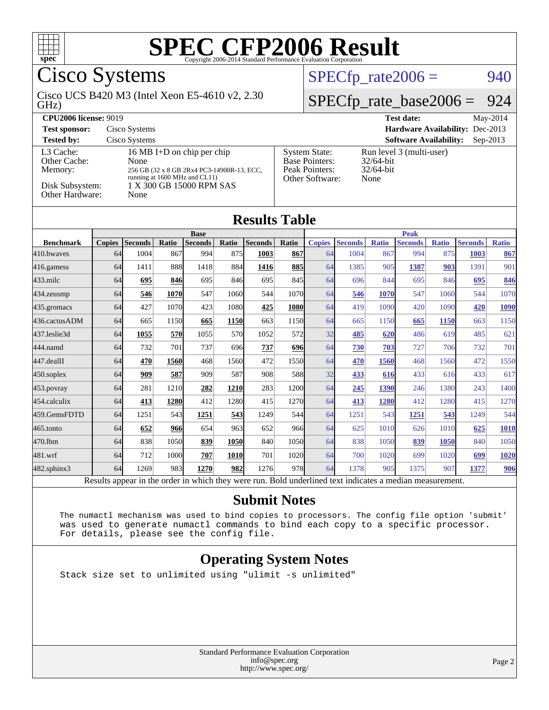

Cisco Systems

GHz) Cisco UCS B420 M3 (Intel Xeon E5-4610 v2, 2.30  $SPECTp_rate2006 = 940$ 

### [SPECfp\\_rate\\_base2006 =](http://www.spec.org/auto/cpu2006/Docs/result-fields.html#SPECfpratebase2006) 924

| <b>CPU2006 license: 9019</b>                                               |                                                                                                                                                       |                                                                                    | May-2014<br><b>Test date:</b>                                    |
|----------------------------------------------------------------------------|-------------------------------------------------------------------------------------------------------------------------------------------------------|------------------------------------------------------------------------------------|------------------------------------------------------------------|
| <b>Test sponsor:</b>                                                       | Cisco Systems                                                                                                                                         |                                                                                    | Hardware Availability: Dec-2013                                  |
| <b>Tested by:</b>                                                          | Cisco Systems                                                                                                                                         |                                                                                    | <b>Software Availability:</b><br>$Sep-2013$                      |
| L3 Cache:<br>Other Cache:<br>Memory:<br>Disk Subsystem:<br>Other Hardware: | 16 MB I+D on chip per chip<br>None<br>256 GB (32 x 8 GB 2Rx4 PC3-14900R-13, ECC,<br>running at 1600 MHz and CL11)<br>1 X 300 GB 15000 RPM SAS<br>None | <b>System State:</b><br><b>Base Pointers:</b><br>Peak Pointers:<br>Other Software: | Run level 3 (multi-user)<br>$32/64$ -bit<br>$32/64$ -bit<br>None |

#### **[Results Table](http://www.spec.org/auto/cpu2006/Docs/result-fields.html#ResultsTable)**

|                  |               |                |       | <b>Base</b>    |             |                |            | <b>Peak</b>   |                |              |                |              |                |              |
|------------------|---------------|----------------|-------|----------------|-------------|----------------|------------|---------------|----------------|--------------|----------------|--------------|----------------|--------------|
| <b>Benchmark</b> | <b>Copies</b> | <b>Seconds</b> | Ratio | <b>Seconds</b> | Ratio       | <b>Seconds</b> | Ratio      | <b>Copies</b> | <b>Seconds</b> | <b>Ratio</b> | <b>Seconds</b> | <b>Ratio</b> | <b>Seconds</b> | <b>Ratio</b> |
| 410.bwayes       | 64            | 1004           | 867   | 994            | 875         | 1003           | 867        | 64            | 1004           | 867          | 994            | 875          | 1003           | 867          |
| $ 416$ .gamess   | 64            | 1411           | 888   | 1418           | 884         | 1416           | 885        | 64            | 1385           | 905          | 1387           | 903          | 1391           | 901          |
| 433.milc         | 64            | 695            | 846   | 695            | 846         | 695            | 845        | 64            | 696            | 844          | 695            | 846          | 695            | 846          |
| $ 434$ . zeusmp  | 64            | 546            | 1070  | 547            | 1060        | 544            | 1070       | 64            | 546            | 1070         | 547            | 1060         | 544            | 1070         |
| 435.gromacs      | 64            | 427            | 1070  | 423            | 1080        | 425            | 1080       | 64            | 419            | 1090         | 420            | 1090         | 420            | 1090         |
| 436.cactusADM    | 64            | 665            | 1150  | 665            | 1150        | 663            | 1150       | 64            | 665            | 1150         | 665            | 1150         | 663            | 1150         |
| 437.leslie3d     | 64            | 1055           | 570   | 1055           | 570         | 1052           | 572        | 32            | 485            | 620          | 486            | 619          | 485            | 621          |
| 444.namd         | 64            | 732            | 701   | 737            | 696         | 737            | 696        | 64            | 730            | 703          | 727            | 706          | 732            | 701          |
| 447.dealII       | 64            | 470            | 1560  | 468            | 1560        | 472            | 1550       | 64            | 470            | 1560         | 468            | 1560         | 472            | 1550         |
| $450$ .soplex    | 64            | 909            | 587   | 909            | 587         | 908            | <b>588</b> | 32            | 433            | 616          | 433            | 616          | 433            | 617          |
| $453$ .povray    | 64            | 281            | 1210  | 282            | 1210        | 283            | 1200       | 64            | 245            | 1390         | 246            | 1380         | 243            | 1400         |
| 454.calculix     | 64            | 413            | 1280  | 412            | 1280        | 415            | 1270       | 64            | 413            | 1280         | 412            | 1280         | 415            | 1270         |
| 459.GemsFDTD     | 64            | 1251           | 543   | 1251           | 543         | 1249           | 544        | 64            | 1251           | 543          | 1251           | 543          | 1249           | 544          |
| $465$ .tonto     | 64            | 652            | 966   | 654            | 963         | 652            | 966        | 64            | 625            | 1010         | 626            | 1010         | 625            | 1010         |
| 470.1bm          | 64            | 838            | 1050  | 839            | 1050        | 840            | 1050       | 64            | 838            | 1050         | 839            | 1050         | 840            | 1050         |
| 481.wrf          | 64            | 712            | 1000  | 707            | <b>1010</b> | 701            | 1020       | 64            | 700            | 1020         | 699            | 1020         | 699            | 1020         |
| 482.sphinx3      | 64            | 1269           | 983   | 1270           | 982         | 1276           | 978        | 64            | 1378           | 905          | 1375           | 907          | 1377           | 906          |

Results appear in the [order in which they were run.](http://www.spec.org/auto/cpu2006/Docs/result-fields.html#RunOrder) Bold underlined text [indicates a median measurement.](http://www.spec.org/auto/cpu2006/Docs/result-fields.html#Median)

#### **[Submit Notes](http://www.spec.org/auto/cpu2006/Docs/result-fields.html#SubmitNotes)**

 The numactl mechanism was used to bind copies to processors. The config file option 'submit' was used to generate numactl commands to bind each copy to a specific processor. For details, please see the config file.

#### **[Operating System Notes](http://www.spec.org/auto/cpu2006/Docs/result-fields.html#OperatingSystemNotes)**

Stack size set to unlimited using "ulimit -s unlimited"

Standard Performance Evaluation Corporation [info@spec.org](mailto:info@spec.org) <http://www.spec.org/>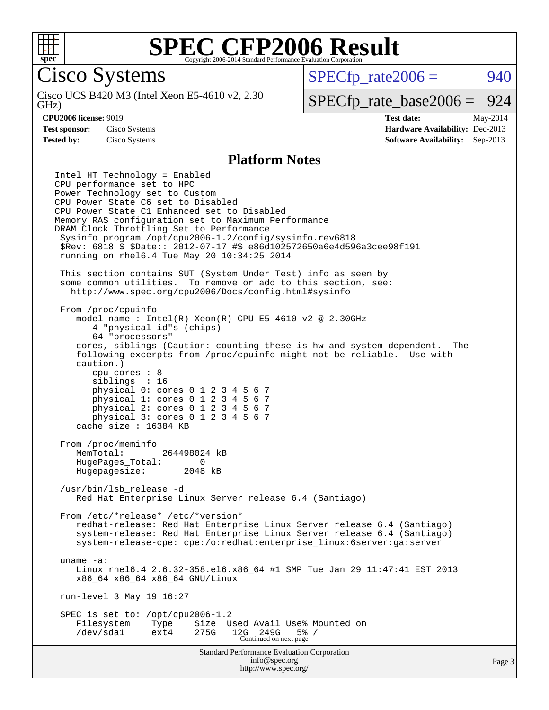

Cisco Systems

GHz) Cisco UCS B420 M3 (Intel Xeon E5-4610 v2, 2.30  $SPECTp\_rate2006 = 940$ 

### [SPECfp\\_rate\\_base2006 =](http://www.spec.org/auto/cpu2006/Docs/result-fields.html#SPECfpratebase2006) 924

**[CPU2006 license:](http://www.spec.org/auto/cpu2006/Docs/result-fields.html#CPU2006license)** 9019 **[Test date:](http://www.spec.org/auto/cpu2006/Docs/result-fields.html#Testdate)** May-2014 **[Test sponsor:](http://www.spec.org/auto/cpu2006/Docs/result-fields.html#Testsponsor)** Cisco Systems **[Hardware Availability:](http://www.spec.org/auto/cpu2006/Docs/result-fields.html#HardwareAvailability)** Dec-2013 **[Tested by:](http://www.spec.org/auto/cpu2006/Docs/result-fields.html#Testedby)** Cisco Systems **[Software Availability:](http://www.spec.org/auto/cpu2006/Docs/result-fields.html#SoftwareAvailability)** Sep-2013

#### **[Platform Notes](http://www.spec.org/auto/cpu2006/Docs/result-fields.html#PlatformNotes)**

Standard Performance Evaluation Corporation [info@spec.org](mailto:info@spec.org) Intel HT Technology = Enabled CPU performance set to HPC Power Technology set to Custom CPU Power State C6 set to Disabled CPU Power State C1 Enhanced set to Disabled Memory RAS configuration set to Maximum Performance DRAM Clock Throttling Set to Performance Sysinfo program /opt/cpu2006-1.2/config/sysinfo.rev6818 \$Rev: 6818 \$ \$Date:: 2012-07-17 #\$ e86d102572650a6e4d596a3cee98f191 running on rhel6.4 Tue May 20 10:34:25 2014 This section contains SUT (System Under Test) info as seen by some common utilities. To remove or add to this section, see: <http://www.spec.org/cpu2006/Docs/config.html#sysinfo> From /proc/cpuinfo model name : Intel(R) Xeon(R) CPU E5-4610 v2 @ 2.30GHz 4 "physical id"s (chips) 64 "processors" cores, siblings (Caution: counting these is hw and system dependent. The following excerpts from /proc/cpuinfo might not be reliable. Use with caution.) cpu cores : 8 siblings : 16 physical 0: cores 0 1 2 3 4 5 6 7 physical 1: cores 0 1 2 3 4 5 6 7 physical 2: cores 0 1 2 3 4 5 6 7 physical 3: cores 0 1 2 3 4 5 6 7 cache size : 16384 KB From /proc/meminfo MemTotal: 264498024 kB HugePages\_Total: 0 Hugepagesize: 2048 kB /usr/bin/lsb\_release -d Red Hat Enterprise Linux Server release 6.4 (Santiago) From /etc/\*release\* /etc/\*version\* redhat-release: Red Hat Enterprise Linux Server release 6.4 (Santiago) system-release: Red Hat Enterprise Linux Server release 6.4 (Santiago) system-release-cpe: cpe:/o:redhat:enterprise\_linux:6server:ga:server uname -a: Linux rhel6.4 2.6.32-358.el6.x86\_64 #1 SMP Tue Jan 29 11:47:41 EST 2013 x86\_64 x86\_64 x86\_64 GNU/Linux run-level 3 May 19 16:27 SPEC is set to: /opt/cpu2006-1.2 Filesystem Type Size Used Avail Use% Mounted on<br>
/dev/sdal ext4 275G 12G 249G 5% / /dev/sda1 ext4 275G 12G 249G 5% / Continued on next page

<http://www.spec.org/>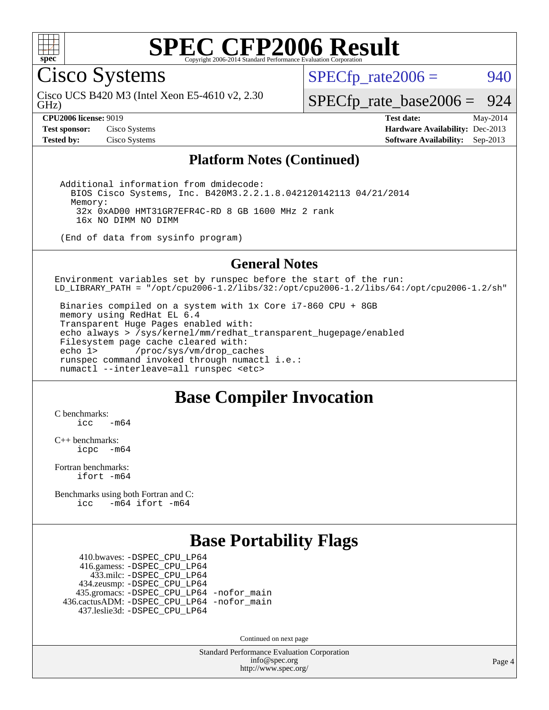

Cisco Systems

GHz) Cisco UCS B420 M3 (Intel Xeon E5-4610 v2, 2.30  $SPECTp\_rate2006 = 940$ 

[SPECfp\\_rate\\_base2006 =](http://www.spec.org/auto/cpu2006/Docs/result-fields.html#SPECfpratebase2006) 924

**[CPU2006 license:](http://www.spec.org/auto/cpu2006/Docs/result-fields.html#CPU2006license)** 9019 **[Test date:](http://www.spec.org/auto/cpu2006/Docs/result-fields.html#Testdate)** May-2014 **[Test sponsor:](http://www.spec.org/auto/cpu2006/Docs/result-fields.html#Testsponsor)** Cisco Systems **[Hardware Availability:](http://www.spec.org/auto/cpu2006/Docs/result-fields.html#HardwareAvailability)** Dec-2013 **[Tested by:](http://www.spec.org/auto/cpu2006/Docs/result-fields.html#Testedby)** Cisco Systems **[Software Availability:](http://www.spec.org/auto/cpu2006/Docs/result-fields.html#SoftwareAvailability)** Sep-2013

#### **[Platform Notes \(Continued\)](http://www.spec.org/auto/cpu2006/Docs/result-fields.html#PlatformNotes)**

 Additional information from dmidecode: BIOS Cisco Systems, Inc. B420M3.2.2.1.8.042120142113 04/21/2014 Memory: 32x 0xAD00 HMT31GR7EFR4C-RD 8 GB 1600 MHz 2 rank 16x NO DIMM NO DIMM

(End of data from sysinfo program)

#### **[General Notes](http://www.spec.org/auto/cpu2006/Docs/result-fields.html#GeneralNotes)**

Environment variables set by runspec before the start of the run: LD\_LIBRARY\_PATH = "/opt/cpu2006-1.2/libs/32:/opt/cpu2006-1.2/libs/64:/opt/cpu2006-1.2/sh"

 Binaries compiled on a system with 1x Core i7-860 CPU + 8GB memory using RedHat EL 6.4 Transparent Huge Pages enabled with: echo always > /sys/kernel/mm/redhat\_transparent\_hugepage/enabled Filesystem page cache cleared with: echo 1> /proc/sys/vm/drop\_caches runspec command invoked through numactl i.e.: numactl --interleave=all runspec <etc>

### **[Base Compiler Invocation](http://www.spec.org/auto/cpu2006/Docs/result-fields.html#BaseCompilerInvocation)**

[C benchmarks](http://www.spec.org/auto/cpu2006/Docs/result-fields.html#Cbenchmarks):  $icc$   $-m64$ 

[C++ benchmarks:](http://www.spec.org/auto/cpu2006/Docs/result-fields.html#CXXbenchmarks) [icpc -m64](http://www.spec.org/cpu2006/results/res2014q3/cpu2006-20140606-29825.flags.html#user_CXXbase_intel_icpc_64bit_bedb90c1146cab66620883ef4f41a67e)

[Fortran benchmarks](http://www.spec.org/auto/cpu2006/Docs/result-fields.html#Fortranbenchmarks): [ifort -m64](http://www.spec.org/cpu2006/results/res2014q3/cpu2006-20140606-29825.flags.html#user_FCbase_intel_ifort_64bit_ee9d0fb25645d0210d97eb0527dcc06e)

[Benchmarks using both Fortran and C](http://www.spec.org/auto/cpu2006/Docs/result-fields.html#BenchmarksusingbothFortranandC): [icc -m64](http://www.spec.org/cpu2006/results/res2014q3/cpu2006-20140606-29825.flags.html#user_CC_FCbase_intel_icc_64bit_0b7121f5ab7cfabee23d88897260401c) [ifort -m64](http://www.spec.org/cpu2006/results/res2014q3/cpu2006-20140606-29825.flags.html#user_CC_FCbase_intel_ifort_64bit_ee9d0fb25645d0210d97eb0527dcc06e)

### **[Base Portability Flags](http://www.spec.org/auto/cpu2006/Docs/result-fields.html#BasePortabilityFlags)**

 410.bwaves: [-DSPEC\\_CPU\\_LP64](http://www.spec.org/cpu2006/results/res2014q3/cpu2006-20140606-29825.flags.html#suite_basePORTABILITY410_bwaves_DSPEC_CPU_LP64) 416.gamess: [-DSPEC\\_CPU\\_LP64](http://www.spec.org/cpu2006/results/res2014q3/cpu2006-20140606-29825.flags.html#suite_basePORTABILITY416_gamess_DSPEC_CPU_LP64) 433.milc: [-DSPEC\\_CPU\\_LP64](http://www.spec.org/cpu2006/results/res2014q3/cpu2006-20140606-29825.flags.html#suite_basePORTABILITY433_milc_DSPEC_CPU_LP64) 434.zeusmp: [-DSPEC\\_CPU\\_LP64](http://www.spec.org/cpu2006/results/res2014q3/cpu2006-20140606-29825.flags.html#suite_basePORTABILITY434_zeusmp_DSPEC_CPU_LP64) 435.gromacs: [-DSPEC\\_CPU\\_LP64](http://www.spec.org/cpu2006/results/res2014q3/cpu2006-20140606-29825.flags.html#suite_basePORTABILITY435_gromacs_DSPEC_CPU_LP64) [-nofor\\_main](http://www.spec.org/cpu2006/results/res2014q3/cpu2006-20140606-29825.flags.html#user_baseLDPORTABILITY435_gromacs_f-nofor_main) 436.cactusADM: [-DSPEC\\_CPU\\_LP64](http://www.spec.org/cpu2006/results/res2014q3/cpu2006-20140606-29825.flags.html#suite_basePORTABILITY436_cactusADM_DSPEC_CPU_LP64) [-nofor\\_main](http://www.spec.org/cpu2006/results/res2014q3/cpu2006-20140606-29825.flags.html#user_baseLDPORTABILITY436_cactusADM_f-nofor_main) 437.leslie3d: [-DSPEC\\_CPU\\_LP64](http://www.spec.org/cpu2006/results/res2014q3/cpu2006-20140606-29825.flags.html#suite_basePORTABILITY437_leslie3d_DSPEC_CPU_LP64)

Continued on next page

Standard Performance Evaluation Corporation [info@spec.org](mailto:info@spec.org) <http://www.spec.org/>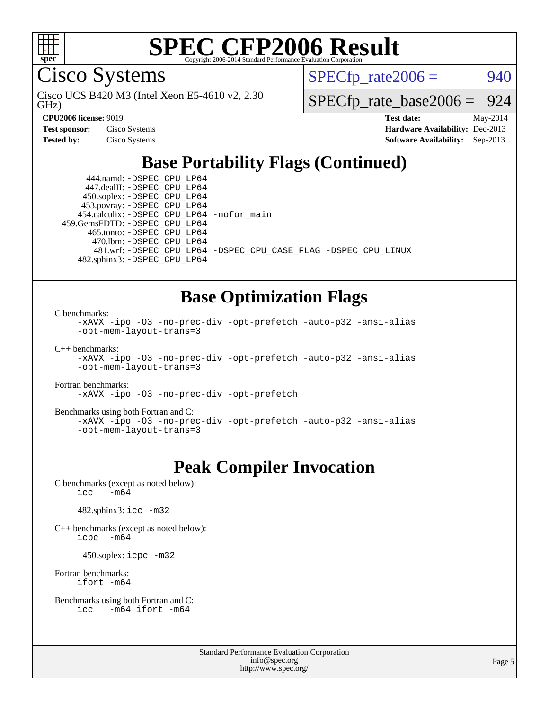

Cisco Systems

GHz) Cisco UCS B420 M3 (Intel Xeon E5-4610 v2, 2.30  $SPECTp\_rate2006 = 940$ 

[SPECfp\\_rate\\_base2006 =](http://www.spec.org/auto/cpu2006/Docs/result-fields.html#SPECfpratebase2006) 924

| <b>Test sponsor:</b> | Cisco Systems |
|----------------------|---------------|
| <b>Tested by:</b>    | Cisco Systems |

**[CPU2006 license:](http://www.spec.org/auto/cpu2006/Docs/result-fields.html#CPU2006license)** 9019 **[Test date:](http://www.spec.org/auto/cpu2006/Docs/result-fields.html#Testdate)** May-2014 **[Hardware Availability:](http://www.spec.org/auto/cpu2006/Docs/result-fields.html#HardwareAvailability)** Dec-2013 **[Software Availability:](http://www.spec.org/auto/cpu2006/Docs/result-fields.html#SoftwareAvailability)** Sep-2013

## **[Base Portability Flags \(Continued\)](http://www.spec.org/auto/cpu2006/Docs/result-fields.html#BasePortabilityFlags)**

 444.namd: [-DSPEC\\_CPU\\_LP64](http://www.spec.org/cpu2006/results/res2014q3/cpu2006-20140606-29825.flags.html#suite_basePORTABILITY444_namd_DSPEC_CPU_LP64) 447.dealII: [-DSPEC\\_CPU\\_LP64](http://www.spec.org/cpu2006/results/res2014q3/cpu2006-20140606-29825.flags.html#suite_basePORTABILITY447_dealII_DSPEC_CPU_LP64) 450.soplex: [-DSPEC\\_CPU\\_LP64](http://www.spec.org/cpu2006/results/res2014q3/cpu2006-20140606-29825.flags.html#suite_basePORTABILITY450_soplex_DSPEC_CPU_LP64) 453.povray: [-DSPEC\\_CPU\\_LP64](http://www.spec.org/cpu2006/results/res2014q3/cpu2006-20140606-29825.flags.html#suite_basePORTABILITY453_povray_DSPEC_CPU_LP64) 454.calculix: [-DSPEC\\_CPU\\_LP64](http://www.spec.org/cpu2006/results/res2014q3/cpu2006-20140606-29825.flags.html#suite_basePORTABILITY454_calculix_DSPEC_CPU_LP64) [-nofor\\_main](http://www.spec.org/cpu2006/results/res2014q3/cpu2006-20140606-29825.flags.html#user_baseLDPORTABILITY454_calculix_f-nofor_main) 459.GemsFDTD: [-DSPEC\\_CPU\\_LP64](http://www.spec.org/cpu2006/results/res2014q3/cpu2006-20140606-29825.flags.html#suite_basePORTABILITY459_GemsFDTD_DSPEC_CPU_LP64) 465.tonto: [-DSPEC\\_CPU\\_LP64](http://www.spec.org/cpu2006/results/res2014q3/cpu2006-20140606-29825.flags.html#suite_basePORTABILITY465_tonto_DSPEC_CPU_LP64) 470.lbm: [-DSPEC\\_CPU\\_LP64](http://www.spec.org/cpu2006/results/res2014q3/cpu2006-20140606-29825.flags.html#suite_basePORTABILITY470_lbm_DSPEC_CPU_LP64) 482.sphinx3: [-DSPEC\\_CPU\\_LP64](http://www.spec.org/cpu2006/results/res2014q3/cpu2006-20140606-29825.flags.html#suite_basePORTABILITY482_sphinx3_DSPEC_CPU_LP64)

481.wrf: [-DSPEC\\_CPU\\_LP64](http://www.spec.org/cpu2006/results/res2014q3/cpu2006-20140606-29825.flags.html#suite_basePORTABILITY481_wrf_DSPEC_CPU_LP64) [-DSPEC\\_CPU\\_CASE\\_FLAG](http://www.spec.org/cpu2006/results/res2014q3/cpu2006-20140606-29825.flags.html#b481.wrf_baseCPORTABILITY_DSPEC_CPU_CASE_FLAG) [-DSPEC\\_CPU\\_LINUX](http://www.spec.org/cpu2006/results/res2014q3/cpu2006-20140606-29825.flags.html#b481.wrf_baseCPORTABILITY_DSPEC_CPU_LINUX)

### **[Base Optimization Flags](http://www.spec.org/auto/cpu2006/Docs/result-fields.html#BaseOptimizationFlags)**

[C benchmarks](http://www.spec.org/auto/cpu2006/Docs/result-fields.html#Cbenchmarks):

```
-xAVX -ipo -O3 -no-prec-div -opt-prefetch -auto-p32 -ansi-alias
-opt-mem-layout-trans=3
```
[C++ benchmarks:](http://www.spec.org/auto/cpu2006/Docs/result-fields.html#CXXbenchmarks)

```
-xAVX -ipo -O3 -no-prec-div -opt-prefetch -auto-p32 -ansi-alias
-opt-mem-layout-trans=3
```
[Fortran benchmarks](http://www.spec.org/auto/cpu2006/Docs/result-fields.html#Fortranbenchmarks):

[-xAVX](http://www.spec.org/cpu2006/results/res2014q3/cpu2006-20140606-29825.flags.html#user_FCbase_f-xAVX) [-ipo](http://www.spec.org/cpu2006/results/res2014q3/cpu2006-20140606-29825.flags.html#user_FCbase_f-ipo) [-O3](http://www.spec.org/cpu2006/results/res2014q3/cpu2006-20140606-29825.flags.html#user_FCbase_f-O3) [-no-prec-div](http://www.spec.org/cpu2006/results/res2014q3/cpu2006-20140606-29825.flags.html#user_FCbase_f-no-prec-div) [-opt-prefetch](http://www.spec.org/cpu2006/results/res2014q3/cpu2006-20140606-29825.flags.html#user_FCbase_f-opt-prefetch)

[Benchmarks using both Fortran and C](http://www.spec.org/auto/cpu2006/Docs/result-fields.html#BenchmarksusingbothFortranandC):

```
-xAVX -ipo -O3 -no-prec-div -opt-prefetch -auto-p32 -ansi-alias
-opt-mem-layout-trans=3
```
## **[Peak Compiler Invocation](http://www.spec.org/auto/cpu2006/Docs/result-fields.html#PeakCompilerInvocation)**

[C benchmarks \(except as noted below\)](http://www.spec.org/auto/cpu2006/Docs/result-fields.html#Cbenchmarksexceptasnotedbelow):<br> $\frac{1}{\text{CC}}$  -m64  $-m64$ 

482.sphinx3: [icc -m32](http://www.spec.org/cpu2006/results/res2014q3/cpu2006-20140606-29825.flags.html#user_peakCCLD482_sphinx3_intel_icc_a6a621f8d50482236b970c6ac5f55f93)

[C++ benchmarks \(except as noted below\):](http://www.spec.org/auto/cpu2006/Docs/result-fields.html#CXXbenchmarksexceptasnotedbelow) [icpc -m64](http://www.spec.org/cpu2006/results/res2014q3/cpu2006-20140606-29825.flags.html#user_CXXpeak_intel_icpc_64bit_bedb90c1146cab66620883ef4f41a67e)

450.soplex: [icpc -m32](http://www.spec.org/cpu2006/results/res2014q3/cpu2006-20140606-29825.flags.html#user_peakCXXLD450_soplex_intel_icpc_4e5a5ef1a53fd332b3c49e69c3330699)

[Fortran benchmarks](http://www.spec.org/auto/cpu2006/Docs/result-fields.html#Fortranbenchmarks): [ifort -m64](http://www.spec.org/cpu2006/results/res2014q3/cpu2006-20140606-29825.flags.html#user_FCpeak_intel_ifort_64bit_ee9d0fb25645d0210d97eb0527dcc06e)

```
Benchmarks using both Fortran and C: 
    icc -m64 ifort -m64
```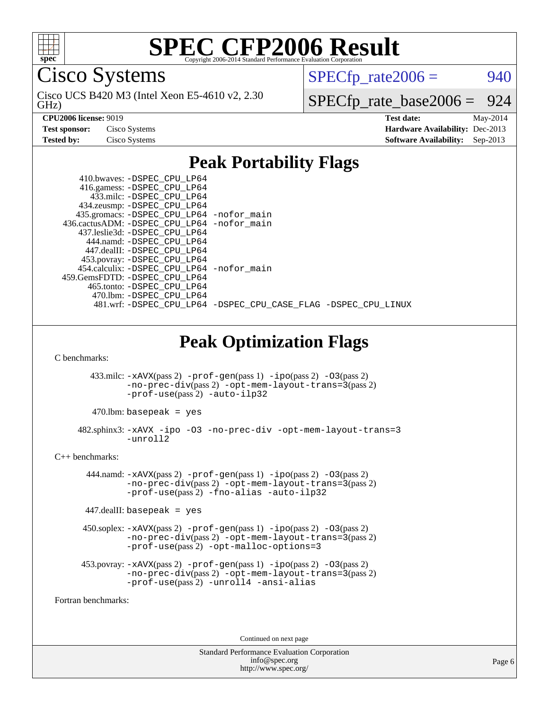

Cisco Systems

GHz) Cisco UCS B420 M3 (Intel Xeon E5-4610 v2, 2.30  $SPECTp\_rate2006 = 940$ 

[SPECfp\\_rate\\_base2006 =](http://www.spec.org/auto/cpu2006/Docs/result-fields.html#SPECfpratebase2006) 924

**[CPU2006 license:](http://www.spec.org/auto/cpu2006/Docs/result-fields.html#CPU2006license)** 9019 **[Test date:](http://www.spec.org/auto/cpu2006/Docs/result-fields.html#Testdate)** May-2014 **[Test sponsor:](http://www.spec.org/auto/cpu2006/Docs/result-fields.html#Testsponsor)** Cisco Systems **[Hardware Availability:](http://www.spec.org/auto/cpu2006/Docs/result-fields.html#HardwareAvailability)** Dec-2013 **[Tested by:](http://www.spec.org/auto/cpu2006/Docs/result-fields.html#Testedby)** Cisco Systems **[Software Availability:](http://www.spec.org/auto/cpu2006/Docs/result-fields.html#SoftwareAvailability)** Sep-2013

### **[Peak Portability Flags](http://www.spec.org/auto/cpu2006/Docs/result-fields.html#PeakPortabilityFlags)**

| 410.bwaves: -DSPEC CPU LP64                                    |  |  |
|----------------------------------------------------------------|--|--|
| 416.gamess: -DSPEC_CPU_LP64                                    |  |  |
| 433.milc: -DSPEC CPU LP64                                      |  |  |
| 434.zeusmp: -DSPEC_CPU_LP64                                    |  |  |
| 435.gromacs: -DSPEC_CPU_LP64 -nofor_main                       |  |  |
| 436.cactusADM: -DSPEC CPU LP64 -nofor main                     |  |  |
| 437.leslie3d: -DSPEC CPU LP64                                  |  |  |
| 444.namd: -DSPEC CPU LP64                                      |  |  |
| 447.dealII: -DSPEC CPU LP64                                    |  |  |
| 453.povray: -DSPEC_CPU_LP64                                    |  |  |
| 454.calculix: - DSPEC CPU LP64 - nofor main                    |  |  |
| 459. GemsFDTD: - DSPEC CPU LP64                                |  |  |
| 465.tonto: -DSPEC CPU LP64                                     |  |  |
| 470.1bm: - DSPEC CPU LP64                                      |  |  |
| 481.wrf: -DSPEC_CPU_LP64 -DSPEC_CPU_CASE_FLAG -DSPEC_CPU_LINUX |  |  |
|                                                                |  |  |

**[Peak Optimization Flags](http://www.spec.org/auto/cpu2006/Docs/result-fields.html#PeakOptimizationFlags)**

[C benchmarks](http://www.spec.org/auto/cpu2006/Docs/result-fields.html#Cbenchmarks):

 433.milc: [-xAVX](http://www.spec.org/cpu2006/results/res2014q3/cpu2006-20140606-29825.flags.html#user_peakPASS2_CFLAGSPASS2_LDFLAGS433_milc_f-xAVX)(pass 2) [-prof-gen](http://www.spec.org/cpu2006/results/res2014q3/cpu2006-20140606-29825.flags.html#user_peakPASS1_CFLAGSPASS1_LDFLAGS433_milc_prof_gen_e43856698f6ca7b7e442dfd80e94a8fc)(pass 1) [-ipo](http://www.spec.org/cpu2006/results/res2014q3/cpu2006-20140606-29825.flags.html#user_peakPASS2_CFLAGSPASS2_LDFLAGS433_milc_f-ipo)(pass 2) [-O3](http://www.spec.org/cpu2006/results/res2014q3/cpu2006-20140606-29825.flags.html#user_peakPASS2_CFLAGSPASS2_LDFLAGS433_milc_f-O3)(pass 2) [-no-prec-div](http://www.spec.org/cpu2006/results/res2014q3/cpu2006-20140606-29825.flags.html#user_peakPASS2_CFLAGSPASS2_LDFLAGS433_milc_f-no-prec-div)(pass 2) [-opt-mem-layout-trans=3](http://www.spec.org/cpu2006/results/res2014q3/cpu2006-20140606-29825.flags.html#user_peakPASS2_CFLAGS433_milc_f-opt-mem-layout-trans_a7b82ad4bd7abf52556d4961a2ae94d5)(pass 2) [-prof-use](http://www.spec.org/cpu2006/results/res2014q3/cpu2006-20140606-29825.flags.html#user_peakPASS2_CFLAGSPASS2_LDFLAGS433_milc_prof_use_bccf7792157ff70d64e32fe3e1250b55)(pass 2) [-auto-ilp32](http://www.spec.org/cpu2006/results/res2014q3/cpu2006-20140606-29825.flags.html#user_peakCOPTIMIZE433_milc_f-auto-ilp32)

 $470.1$ bm: basepeak = yes

 482.sphinx3: [-xAVX](http://www.spec.org/cpu2006/results/res2014q3/cpu2006-20140606-29825.flags.html#user_peakOPTIMIZE482_sphinx3_f-xAVX) [-ipo](http://www.spec.org/cpu2006/results/res2014q3/cpu2006-20140606-29825.flags.html#user_peakOPTIMIZE482_sphinx3_f-ipo) [-O3](http://www.spec.org/cpu2006/results/res2014q3/cpu2006-20140606-29825.flags.html#user_peakOPTIMIZE482_sphinx3_f-O3) [-no-prec-div](http://www.spec.org/cpu2006/results/res2014q3/cpu2006-20140606-29825.flags.html#user_peakOPTIMIZE482_sphinx3_f-no-prec-div) [-opt-mem-layout-trans=3](http://www.spec.org/cpu2006/results/res2014q3/cpu2006-20140606-29825.flags.html#user_peakOPTIMIZE482_sphinx3_f-opt-mem-layout-trans_a7b82ad4bd7abf52556d4961a2ae94d5)  $-$ unroll2

[C++ benchmarks:](http://www.spec.org/auto/cpu2006/Docs/result-fields.html#CXXbenchmarks)

444.namd:  $-xAVX(pass 2)$  $-xAVX(pass 2)$  [-prof-gen](http://www.spec.org/cpu2006/results/res2014q3/cpu2006-20140606-29825.flags.html#user_peakPASS1_CXXFLAGSPASS1_LDFLAGS444_namd_prof_gen_e43856698f6ca7b7e442dfd80e94a8fc)(pass 1) [-ipo](http://www.spec.org/cpu2006/results/res2014q3/cpu2006-20140606-29825.flags.html#user_peakPASS2_CXXFLAGSPASS2_LDFLAGS444_namd_f-ipo)(pass 2) [-O3](http://www.spec.org/cpu2006/results/res2014q3/cpu2006-20140606-29825.flags.html#user_peakPASS2_CXXFLAGSPASS2_LDFLAGS444_namd_f-O3)(pass 2) [-no-prec-div](http://www.spec.org/cpu2006/results/res2014q3/cpu2006-20140606-29825.flags.html#user_peakPASS2_CXXFLAGSPASS2_LDFLAGS444_namd_f-no-prec-div)(pass 2) [-opt-mem-layout-trans=3](http://www.spec.org/cpu2006/results/res2014q3/cpu2006-20140606-29825.flags.html#user_peakPASS2_CXXFLAGS444_namd_f-opt-mem-layout-trans_a7b82ad4bd7abf52556d4961a2ae94d5)(pass 2) [-prof-use](http://www.spec.org/cpu2006/results/res2014q3/cpu2006-20140606-29825.flags.html#user_peakPASS2_CXXFLAGSPASS2_LDFLAGS444_namd_prof_use_bccf7792157ff70d64e32fe3e1250b55)(pass 2) [-fno-alias](http://www.spec.org/cpu2006/results/res2014q3/cpu2006-20140606-29825.flags.html#user_peakCXXOPTIMIZE444_namd_f-no-alias_694e77f6c5a51e658e82ccff53a9e63a) [-auto-ilp32](http://www.spec.org/cpu2006/results/res2014q3/cpu2006-20140606-29825.flags.html#user_peakCXXOPTIMIZE444_namd_f-auto-ilp32)

 $447$ .dealII: basepeak = yes

 450.soplex: [-xAVX](http://www.spec.org/cpu2006/results/res2014q3/cpu2006-20140606-29825.flags.html#user_peakPASS2_CXXFLAGSPASS2_LDFLAGS450_soplex_f-xAVX)(pass 2) [-prof-gen](http://www.spec.org/cpu2006/results/res2014q3/cpu2006-20140606-29825.flags.html#user_peakPASS1_CXXFLAGSPASS1_LDFLAGS450_soplex_prof_gen_e43856698f6ca7b7e442dfd80e94a8fc)(pass 1) [-ipo](http://www.spec.org/cpu2006/results/res2014q3/cpu2006-20140606-29825.flags.html#user_peakPASS2_CXXFLAGSPASS2_LDFLAGS450_soplex_f-ipo)(pass 2) [-O3](http://www.spec.org/cpu2006/results/res2014q3/cpu2006-20140606-29825.flags.html#user_peakPASS2_CXXFLAGSPASS2_LDFLAGS450_soplex_f-O3)(pass 2) [-no-prec-div](http://www.spec.org/cpu2006/results/res2014q3/cpu2006-20140606-29825.flags.html#user_peakPASS2_CXXFLAGSPASS2_LDFLAGS450_soplex_f-no-prec-div)(pass 2) [-opt-mem-layout-trans=3](http://www.spec.org/cpu2006/results/res2014q3/cpu2006-20140606-29825.flags.html#user_peakPASS2_CXXFLAGS450_soplex_f-opt-mem-layout-trans_a7b82ad4bd7abf52556d4961a2ae94d5)(pass 2) [-prof-use](http://www.spec.org/cpu2006/results/res2014q3/cpu2006-20140606-29825.flags.html#user_peakPASS2_CXXFLAGSPASS2_LDFLAGS450_soplex_prof_use_bccf7792157ff70d64e32fe3e1250b55)(pass 2) [-opt-malloc-options=3](http://www.spec.org/cpu2006/results/res2014q3/cpu2006-20140606-29825.flags.html#user_peakOPTIMIZE450_soplex_f-opt-malloc-options_13ab9b803cf986b4ee62f0a5998c2238)

```
 453.povray: -xAVX(pass 2) -prof-gen(pass 1) -ipo(pass 2) -O3(pass 2)
         -no-prec-div(pass 2) -opt-mem-layout-trans=3(pass 2)
         -prof-use(pass 2) -unroll4 -ansi-alias
```
[Fortran benchmarks](http://www.spec.org/auto/cpu2006/Docs/result-fields.html#Fortranbenchmarks):

Continued on next page

Standard Performance Evaluation Corporation [info@spec.org](mailto:info@spec.org) <http://www.spec.org/>